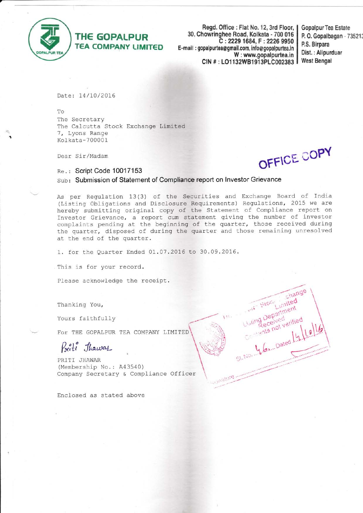

i

THE GOPALPUR TEA COMPANY LIMIT€D

Regd. Office : Flat No. 12, 3rd Floor, 30, Chowringhee Road, Kolkata - 700 016 C :2229 1684, F : 2226 9950 E-mail : gopalpurtea@ gmail,com, infog gopalpurtea,in W: www.gopalpurtea.in CIN #: LO1132WB1913PLC002383

Gopalpur Tea Estate P, 0. Gopalbagan - 73521i P.S. Birpara Dist. : Alipurduar West Bengal

Date: 14/10/2016

To The Secretary The Calcutta Stock Exchange Limited 7, Lyons Range Kolkata-700001

Dear Sir/Madam

OFFIUL  $CO<sub>h</sub>$ 

Re.: Script Code 10017153

Sub: Submission of Statement of Compliance report on Investor Grievance

As per Regulation 13(3) of the Securities and Exchange Board of India (Listing Obligations and Disclosure Requirements) Regulations, 2015 we are hereby submitting original copy of the Statement of Compliance report on Investor Grievance, a report cum statement giving the number of investo complaints pending at the beginning of the quarter, those received during the quarter, disposed of during the quarter and those remaining unresolved at the end of the quarter.

1

1. for the Quarter Ended 01.07.2016 to 30.09.2016.

This is for your record.

Please acknowledge the receipt.

Thanking You,

Yours faithfully

For THE GOPALPUR TEA COMPANY LIMITED

Prite Thawas

PRITI JHAWAR (Membership No.: A43540) Company Secretary & Compliance Officer

Enclosed as stated above